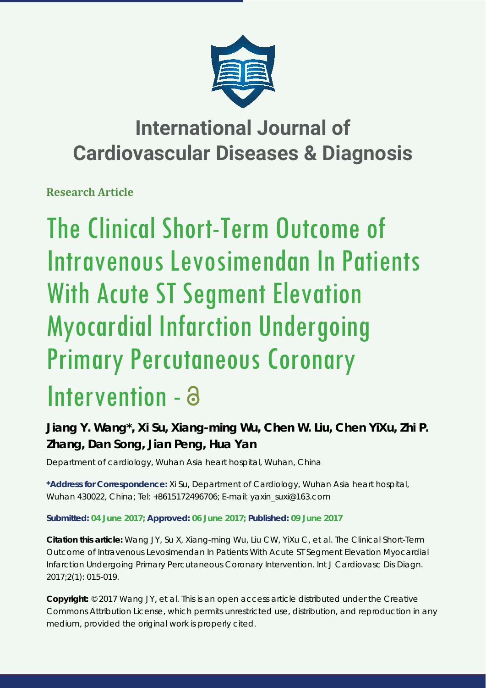

## **International Journal of Cardiovascular Diseases & Diagnosis**

**Research Article**

# The Clinical Short-Term Outcome of Intravenous Levosimendan In Patients With Acute ST Segment Elevation Myocardial Infarction Undergoing Primary Percutaneous Coronary Intervention -

## **Jiang Y. Wang\*, Xi Su, Xiang-ming Wu, Chen W. Liu, Chen YiXu, Zhi P. Zhang, Dan Song, Jian Peng, Hua Yan**

*Department of cardiology, Wuhan Asia heart hospital, Wuhan, China*

**\*Address for Correspondence:** Xi Su, Department of Cardiology, Wuhan Asia heart hospital, Wuhan 430022, China; Tel: +8615172496706; E-mail: yaxin\_suxi@163.com

### **Submitted: 04 June 2017; Approved: 06 June 2017; Published: 09 June 2017**

**Citation this article:** Wang JY, Su X, Xiang-ming Wu, Liu CW, YiXu C, et al. The Clinical Short-Term Outcome of Intravenous Levosimendan In Patients With Acute ST Segment Elevation Myocardial Infarction Undergoing Primary Percutaneous Coronary Intervention. Int J Cardiovasc Dis Diagn. 2017;2(1): 015-019.

**Copyright:** © 2017 Wang JY, et al. This is an open access article distributed under the Creative Commons Attribution License, which permits unrestricted use, distribution, and reproduction in any medium, provided the original work is properly cited.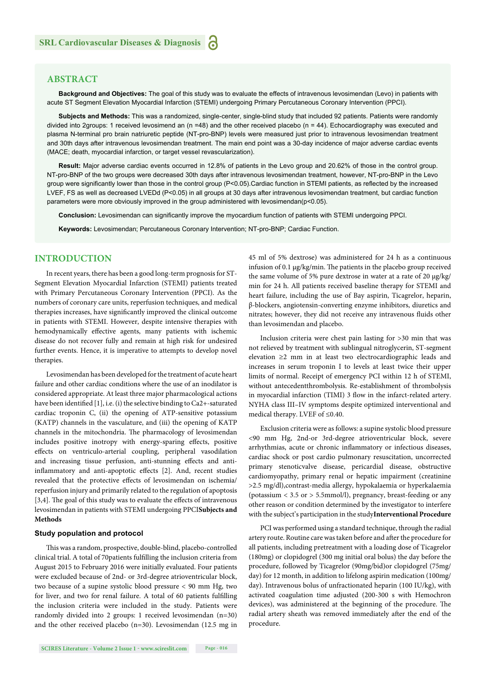#### **ABSTRACT**

**Background and Objectives:** The goal of this study was to evaluate the effects of intravenous levosimendan (Levo) in patients with acute ST Segment Elevation Myocardial Infarction (STEMI) undergoing Primary Percutaneous Coronary Intervention (PPCI).

**Subjects and Methods:** This was a randomized, single-center, single-blind study that included 92 patients. Patients were randomly divided into 2groups: 1 received levosimend an (n =48) and the other received placebo (n = 44). Echocardiography was executed and plasma N-terminal pro brain natriuretic peptide (NT-pro-BNP) levels were measured just prior to intravenous levosimendan treatment and 30th days after intravenous levosimendan treatment. The main end point was a 30-day incidence of major adverse cardiac events (MACE; death, myocardial infarction, or target vessel revascularization).

**Result:** Major adverse cardiac events occurred in 12.8% of patients in the Levo group and 20.62% of those in the control group. NT-pro-BNP of the two groups were decreased 30th days after intravenous levosimendan treatment, however, NT-pro-BNP in the Levo group were significantly lower than those in the control group (P<0.05).Cardiac function in STEMI patients, as reflected by the increased LVEF, FS as well as decreased LVEDd (P<0.05) in all groups at 30 days after intravenous levosimendan treatment, but cardiac function parameters were more obviously improved in the group administered with levosimendan(p<0.05).

**Conclusion:** Levosimendan can significantly improve the myocardium function of patients with STEMI undergoing PPCI.

Keywords: Levosimendan; Percutaneous Coronary Intervention; NT-pro-BNP; Cardiac Function.

#### **INTRODUCTION**

In recent years, there has been a good long-term prognosis for ST-Segment Elevation Myocardial Infarction (STEMI) patients treated with Primary Percutaneous Coronary Intervention (PPCI). As the numbers of coronary care units, reperfusion techniques, and medical therapies increases, have significantly improved the clinical outcome in patients with STEMI. However, despite intensive therapies with hemodynamically effective agents, many patients with ischemic disease do not recover fully and remain at high risk for undesired further events. Hence, it is imperative to attempts to develop novel therapies.

Levosimendan has been developed for the treatment of acute heart failure and other cardiac conditions where the use of an inodilator is considered appropriate. At least three major pharmacological actions have been identified [1], i.e. (i) the selective binding to  $Ca2+$ -saturated cardiac troponin C, (ii) the opening of ATP-sensitive potassium (KATP) channels in the vasculature, and (iii) the opening of KATP channels in the mitochondria. The pharmacology of levosimendan includes positive inotropy with energy-sparing effects, positive effects on ventriculo-arterial coupling, peripheral vasodilation and increasing tissue perfusion, anti-stunning effects and antiinflammatory and anti-apoptotic effects [2]. And, recent studies revealed that the protective effects of levosimendan on ischemia/ reperfusion injury and primarily related to the regulation of apoptosis [3,4]. The goal of this study was to evaluate the effects of intravenous levosimendan in patients with STEMI undergoing PPCI**Subjects and Methods**

#### **Study population and protocol**

This was a random, prospective, double-blind, placebo-controlled clinical trial. A total of 70patients fulfilling the inclusion criteria from August 2015 to February 2016 were initially evaluated. Four patients were excluded because of 2nd- or 3rd-degree atrioventricular block, two because of a supine systolic blood pressure  $< 90$  mm Hg, two for liver, and two for renal failure. A total of 60 patients fulfilling the inclusion criteria were included in the study. Patients were randomly divided into 2 groups: 1 received levosimendan (n=30) and the other received placebo (n=30). Levosimendan (12.5 mg in 45 ml of 5% dextrose) was administered for 24 h as a continuous infusion of 0.1 μg/kg/min. The patients in the placebo group received the same volume of 5% pure dextrose in water at a rate of 20 μg/kg/ min for 24 h. All patients received baseline therapy for STEMI and heart failure, including the use of Bay aspirin, Ticagrelor, heparin, β-blockers, angiotensin-converting enzyme inhibitors, diuretics and nitrates; however, they did not receive any intravenous fluids other than levosimendan and placebo.

Inclusion criteria were chest pain lasting for >30 min that was not relieved by treatment with sublingual nitroglycerin, ST-segment elevation ≥2 mm in at least two electrocardiographic leads and increases in serum troponin I to levels at least twice their upper limits of normal. Receipt of emergency PCI within 12 h of STEMI, without antecedentthrombolysis. Re-establishment of thrombolysis in myocardial infarction (TIMI) 3 flow in the infarct-related artery. NYHA class III–IV symptoms despite optimized interventional and medical therapy. LVEF of ≤0.40.

Exclusion criteria were as follows: a supine systolic blood pressure <90 mm Hg, 2nd-or 3rd-degree atrioventricular block, severe arrhythmias, acute or chronic inflammatory or infectious diseases, cardiac shock or post cardio pulmonary resuscitation, uncorrected primary stenoticvalve disease, pericardial disease, obstructive cardiomyopathy, primary renal or hepatic impairment (creatinine >2.5 mg/dl),contrast-media allergy, hypokalaemia or hyperkalaemia (potassium < 3.5 or > 5.5mmol/l), pregnancy, breast-feeding or any other reason or condition determined by the investigator to interfere with the subject's participation in the study**Interventional Procedure**

PCI was performed using a standard technique, through the radial artery route. Routine care was taken before and after the procedure for all patients, including pretreatment with a loading dose of Ticagrelor (180mg) or clopidogrel (300 mg initial oral bolus) the day before the procedure, followed by Ticagrelor (90mg/bid)or clopidogrel (75mg/ day) for 12 month, in addition to lifelong aspirin medication (100mg/ day). Intravenous bolus of unfractionated heparin (100 IU/kg), with activated coagulation time adjusted (200-300 s with Hemochron devices), was administered at the beginning of the procedure. The radial artery sheath was removed immediately after the end of the procedure.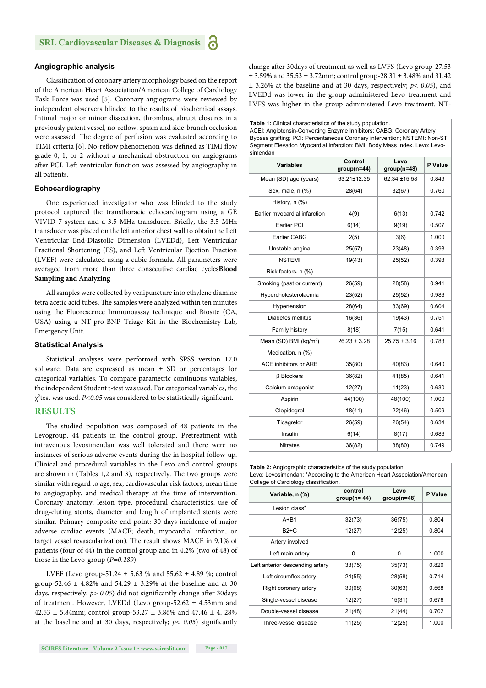#### **Angiographic analysis**

Classification of coronary artery morphology based on the report of the American Heart Association/American College of Cardiology Task Force was used [5]. Coronary angiograms were reviewed by independent observers blinded to the results of biochemical assays. Intimal major or minor dissection, thrombus, abrupt closures in a previously patent vessel, no-reflow, spasm and side-branch occlusion were assessed. The degree of perfusion was evaluated according to TIMI criteria [6]. No-reflow phenomenon was defined as TIMI flow grade 0, 1, or 2 without a mechanical obstruction on angiograms after PCI. Left ventricular function was assessed by angiography in all patients.

#### **Echocardiography**

One experienced investigator who was blinded to the study protocol captured the transthoracic echocardiogram using a GE VIVID 7 system and a 3.5 MHz transducer. Briefly, the 3.5 MHz transducer was placed on the left anterior chest wall to obtain the Left Ventricular End-Diastolic Dimension (LVEDd), Left Ventricular Fractional Shortening (FS), and Left Ventricular Ejection Fraction (LVEF) were calculated using a cubic formula. All parameters were averaged from more than three consecutive cardiac cycles**Blood Sampling and Analyzing**

All samples were collected by venipuncture into ethylene diamine tetra acetic acid tubes. The samples were analyzed within ten minutes using the Fluorescence Immunoassay technique and Biosite (CA, USA) using a NT-pro-BNP Triage Kit in the Biochemistry Lab, Emergency Unit.

#### **Statistical Analysis**

Statistical analyses were performed with SPSS version 17.0 software. Data are expressed as mean  $\pm$  SD or percentages for categorical variables. To compare parametric continuous variables, the independent Student t-test was used. For categorical variables, the χ<sup>2</sup>test was used. *P<0.05* was considered to be statistically significant.

#### **RESULTS**

The studied population was composed of 48 patients in the Levogroup, 44 patients in the control group. Pretreatment with intravenous levosimendan was well tolerated and there were no instances of serious adverse events during the in hospital follow-up. Clinical and procedural variables in the Levo and control groups are shown in (Tables 1,2 and 3), respectively. The two groups were similar with regard to age, sex, cardiovascular risk factors, mean time to angiography, and medical therapy at the time of intervention. Coronary anatomy, lesion type, procedural characteristics, use of drug-eluting stents, diameter and length of implanted stents were similar. Primary composite end point: 30 days incidence of major adverse cardiac events (MACE; death, myocardial infarction, or target vessel revascularization). The result shows MACE in 9.1% of patients (four of 44) in the control group and in 4.2% (two of 48) of those in the Levo-group (*P=0.189*).

LVEF (Levo group-51.24 ± 5.63 % and 55.62 ± 4.89 %; control group-52.46  $\pm$  4.82% and 54.29  $\pm$  3.29% at the baseline and at 30 days, respectively;  $p > 0.05$ ) did not significantly change after 30days of treatment. However, LVEDd (Levo group-52.62 ± 4.53mm and 42.53  $\pm$  5.84mm; control group-53.27  $\pm$  3.86% and 47.46  $\pm$  4.28% at the baseline and at 30 days, respectively;  $p < 0.05$ ) significantly

**SCIRES Literature - Volume 2 Issue 1 - www.scireslit.com Page - 017**

change after 30days of treatment as well as LVFS (Levo group-27.53 ± 3.59% and 35.53 ± 3.72mm; control group-28.31 ± 3.48% and 31.42 ± 3.26% at the baseline and at 30 days, respectively; *p< 0.05*), and LVEDd was lower in the group administered Levo treatment and LVFS was higher in the group administered Levo treatment. NT-

**Table 1:** Clinical characteristics of the study population. ACEI: Angiotensin-Converting Enzyme Inhibitors; CABG: Coronary Artery Bypass grafting; PCI: Percentaneous Coronary intervention; NSTEMI: Non-ST Segment Elevation Myocardial Infarction; BMI: Body Mass Index. Levo: Levosimendan

| Variables                          | Control<br>$group(n=44)$ | Levo<br>$group(n=48)$ | P Value |
|------------------------------------|--------------------------|-----------------------|---------|
| Mean (SD) age (years)              | 63.21±12.35              | 62.34 ±15.58          | 0.849   |
| Sex, male, n (%)                   | 28(64)                   | 32(67)                | 0.760   |
| History, n (%)                     |                          |                       |         |
| Earlier myocardial infarction      | 4(9)                     | 6(13)                 | 0.742   |
| Earlier PCI                        | 6(14)                    | 9(19)                 | 0.507   |
| <b>Earlier CABG</b>                | 2(5)                     | 3(6)                  | 1.000   |
| Unstable angina                    | 25(57)                   | 23(48)                | 0.393   |
| <b>NSTEMI</b>                      | 19(43)                   | 25(52)                | 0.393   |
| Risk factors, n (%)                |                          |                       |         |
| Smoking (past or current)          | 26(59)                   | 28(58)                | 0.941   |
| Hypercholesterolaemia              | 23(52)                   | 25(52)                | 0.986   |
| Hypertension                       | 28(64)                   | 33(69)                | 0.604   |
| Diabetes mellitus                  | 16(36)                   | 19(43)                | 0.751   |
| Family history                     | 8(18)<br>7(15)           |                       | 0.641   |
| Mean (SD) BMI (kg/m <sup>2</sup> ) | $26.23 \pm 3.28$         | $25.75 \pm 3.16$      |         |
| Medication, n (%)                  |                          |                       |         |
| ACE inhibitors or ARB              | 35(80)                   | 40(83)                | 0.640   |
| <b>ß</b> Blockers                  | 36(82)                   | 41(85)                | 0.641   |
| Calcium antagonist                 | 12(27)<br>11(23)         |                       | 0.630   |
| Aspirin                            | 44(100)                  | 48(100)               | 1.000   |
| Clopidogrel                        | 18(41)                   | 22(46)                | 0.509   |
| Ticagrelor                         | 26(59)                   | 26(54)                | 0.634   |
| Insulin                            | 6(14)                    | 8(17)                 | 0.686   |
| <b>Nitrates</b>                    | 36(82)                   | 38(80)                | 0.749   |

**Table 2:** Angiographic characteristics of the study population Levo: Levosimendan; \*According to the American Heart Association/American College of Cardiology classification.

| Variable, n (%)                 | control<br>$group(n=44)$ | Levo<br>$group(n=48)$ | P Value |
|---------------------------------|--------------------------|-----------------------|---------|
| Lesion class*                   |                          |                       |         |
| $A + B1$                        | 32(73)                   | 36(75)                | 0.804   |
| $B2+C$                          | 12(27)                   | 12(25)                | 0.804   |
| Artery involved                 |                          |                       |         |
| Left main artery                | 0                        | 0                     | 1.000   |
| Left anterior descending artery | 33(75)                   | 35(73)                | 0.820   |
| Left circumflex artery          | 24(55)                   | 28(58)                | 0.714   |
| Right coronary artery           | 30(68)                   | 30(63)                | 0.568   |
| Single-vessel disease           | 12(27)                   | 15(31)                | 0.676   |
| Double-vessel disease           | 21(48)                   | 21(44)                | 0.702   |
| Three-vessel disease            | 11(25)                   | 12(25)                | 1.000   |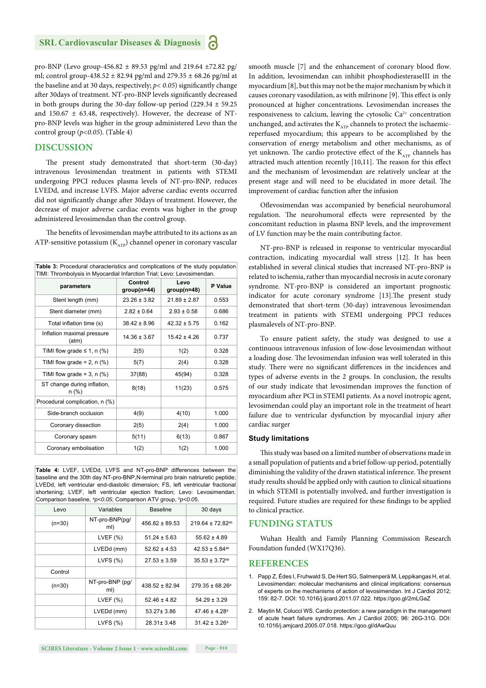pro-BNP (Levo group-456.82 ± 89.53 pg/ml and 219.64 ±72.82 pg/ ml; control group-438.52  $\pm$  82.94 pg/ml and 279.35  $\pm$  68.26 pg/ml at the baseline and at 30 days, respectively;  $p$  < 0.05) significantly change after 30days of treatment. NT-pro-BNP levels significantly decreased in both groups during the 30-day follow-up period (229.34  $\pm$  59.25 and  $150.67 \pm 63.48$ , respectively). However, the decrease of NTpro-BNP levels was higher in the group administered Levo than the control group (*p<0.05*). (Table 4)

#### **DISCUSSION**

The present study demonstrated that short-term (30-day) intravenous levosimendan treatment in patients with STEMI undergoing PPCI reduces plasma levels of NT-pro-BNP, reduces LVEDd, and increase LVFS. Major adverse cardiac events occurred did not significantly change after 30days of treatment. However, the decrease of major adverse cardiac events was higher in the group administered levosimendan than the control group.

The benefits of levosimendan maybe attributed to its actions as an ATP-sensitive potassium  $(K_{\text{ATP}})$  channel opener in coronary vascular

| Table 3: Procedural characteristics and complications of the study population<br>TIMI: Thrombolysis in Myocardial Infarction Trial; Levo: Levosimendan. |                          |                       |         |  |
|---------------------------------------------------------------------------------------------------------------------------------------------------------|--------------------------|-----------------------|---------|--|
| parameters                                                                                                                                              | Control<br>$group(n=44)$ | Levo<br>$group(n=48)$ | P Value |  |
| Stent length (mm)                                                                                                                                       | $23.26 \pm 3.82$         | $21.89 \pm 2.87$      | 0.553   |  |
| Stent diameter (mm)                                                                                                                                     | $2.82 \pm 0.64$          | $2.93 \pm 0.58$       |         |  |
| Total inflation time (s)                                                                                                                                | $38.42 \pm 8.96$         | $42.32 \pm 5.75$      | 0.162   |  |
| Inflation maximal pressure<br>(atm)                                                                                                                     | $14.36 \pm 3.67$         | $15.42 \pm 4.26$      | 0.737   |  |
| TIMI flow grade $\leq$ 1, n (%)                                                                                                                         | 2(5)                     | 1(2)                  | 0.328   |  |
| TIMI flow grade = $2$ , n $(\%)$                                                                                                                        | 5(7)                     | 2(4)                  | 0.328   |  |
| TIMI flow grade = $3$ , n $(\%)$                                                                                                                        | 37(88)                   | 45(94)                | 0.328   |  |
| ST change during inflation,<br>$n (\%)$                                                                                                                 | 8(18)                    | 11(23)                | 0.575   |  |
| Procedural complication, n (%)                                                                                                                          |                          |                       |         |  |
| Side-branch occlusion                                                                                                                                   | 4(9)                     | 4(10)                 | 1.000   |  |
| Coronary dissection                                                                                                                                     | 2(5)                     | 2(4)                  | 1.000   |  |
| Coronary spasm                                                                                                                                          | 5(11)                    | 6(13)                 | 0.867   |  |
| Coronary embolisation                                                                                                                                   | 1(2)                     | 1(2)                  | 1.000   |  |

**Table 4:** LVEF, LVEDd, LVFS and NT-pro-BNP differences between the baseline and the 30th day NT-pro-BNP,N-terminal pro brain natriuretic peptide; LVEDd, left ventricular end-diastolic dimension; FS, left ventricular fractional shortening; LVEF, left ventricular ejection fraction; Levo: Levosimendan. Comparison baseline, *<sup>a</sup> p<0.05*; Comparison ATV group, *<sup>b</sup> p<0.0*5.

| Levo     | Variables              | <b>Baseline</b>    | 30 days                        |
|----------|------------------------|--------------------|--------------------------------|
| $(n=30)$ | NT-pro-BNP(pg/<br>ml)  | $456.82 \pm 89.53$ | $219.64 \pm 72.82^{ab}$        |
|          | LVEF $(%)$             | $51.24 \pm 5.63$   | $55.62 \pm 4.89$               |
|          | LVEDd (mm)             | $52.62 \pm 4.53$   | $42.53 \pm 5.84^{ab}$          |
|          | LVFS $(%)$             | $27.53 \pm 3.59$   | $35.53 \pm 3.72$ <sup>ab</sup> |
| Control  |                        |                    |                                |
| $(n=30)$ | NT-pro-BNP (pg/<br>ml) | $438.52 \pm 82.94$ | $279.35 \pm 68.26^a$           |
|          | LVEF $(% )$            | $52.46 \pm 4.82$   | $54.29 \pm 3.29$               |
|          | LVEDd (mm)             | 53.27± 3.86        | $47.46 \pm 4.28$ <sup>a</sup>  |
|          | LVFS $(%)$             | $28.31 \pm 3.48$   | $31.42 \pm 3.26^a$             |

smooth muscle [7] and the enhancement of coronary blood flow. In addition, levosimendan can inhibit phosphodiesteraseIII in the myocardium [8], but this may not be the major mechanism by which it causes coronary vasodilation, as with milrinone [9]. This effect is only pronounced at higher concentrations. Levosimendan increases the responsiveness to calcium, leaving the cytosolic  $Ca<sup>2+</sup>$  concentration unchanged, and activates the  $K_{ATP}$  channels to protect the ischaemicreperfused myocardium; this appears to be accomplished by the conservation of energy metabolism and other mechanisms, as of yet unknown. The cardio protective effect of the  $K_{ATP}$  channels has attracted much attention recently  $[10,11]$ . The reason for this effect and the mechanism of levosimendan are relatively unclear at the present stage and will need to be elucidated in more detail. The improvement of cardiac function after the infusion

Oflevosimendan was accompanied by beneficial neurohumoral regulation. The neurohumoral effects were represented by the concomitant reduction in plasma BNP levels, and the improvement of LV function may be the main contributing factor.

NT-pro-BNP is released in response to ventricular myocardial contraction, indicating myocardial wall stress [12]. It has been established in several clinical studies that increased NT-pro-BNP is related to ischemia, rather than myocardial necrosis in acute coronary syndrome. NT-pro-BNP is considered an important prognostic indicator for acute coronary syndrome [13]. The present study demonstrated that short-term (30-day) intravenous levosimendan treatment in patients with STEMI undergoing PPCI reduces plasmalevels of NT-pro-BNP.

To ensure patient safety, the study was designed to use a continuous intravenous infusion of low-dose levosimendan without a loading dose. The levosimendan infusion was well tolerated in this study. There were no significant differences in the incidences and types of adverse events in the 2 groups. In conclusion, the results of our study indicate that levosimendan improves the function of myocardium after PCI in STEMI patients. As a novel inotropic agent, levosimendan could play an important role in the treatment of heart failure due to ventricular dysfunction by myocardial injury after cardiac surger

#### **Study limitations**

This study was based on a limited number of observations made in a small population of patients and a brief follow-up period, potentially diminishing the validity of the drawn statistical inference. The present study results should be applied only with caution to clinical situations in which STEMI is potentially involved, and further investigation is required. Future studies are required for these findings to be applied to clinical practice.

#### **FUNDING STATUS**

Wuhan Health and Family Planning Commission Research Foundation funded (WX17Q36).

#### **REFERENCES**

- 1. Papp Z, Édes I, Fruhwald S, De Hert SG, Salmenperä M, Leppikangas H, et al. Levosimendan: molecular mechanisms and clinical implications: consensus of experts on the mechanisms of action of levosimendan. Int J Cardiol 2012; 159: 82-7. DOI: 10.1016/j.ijcard.2011.07.022. https://goo.gl/2mLGaZ
- 2. Maytin M, Colucci WS. Cardio protection: a new paradigm in the management of acute heart failure syndromes. Am J Cardiol 2005; 96: 26G-31G. DOI: 10.1016/j.amjcard.2005.07.018. https://goo.gl/dAwQuu